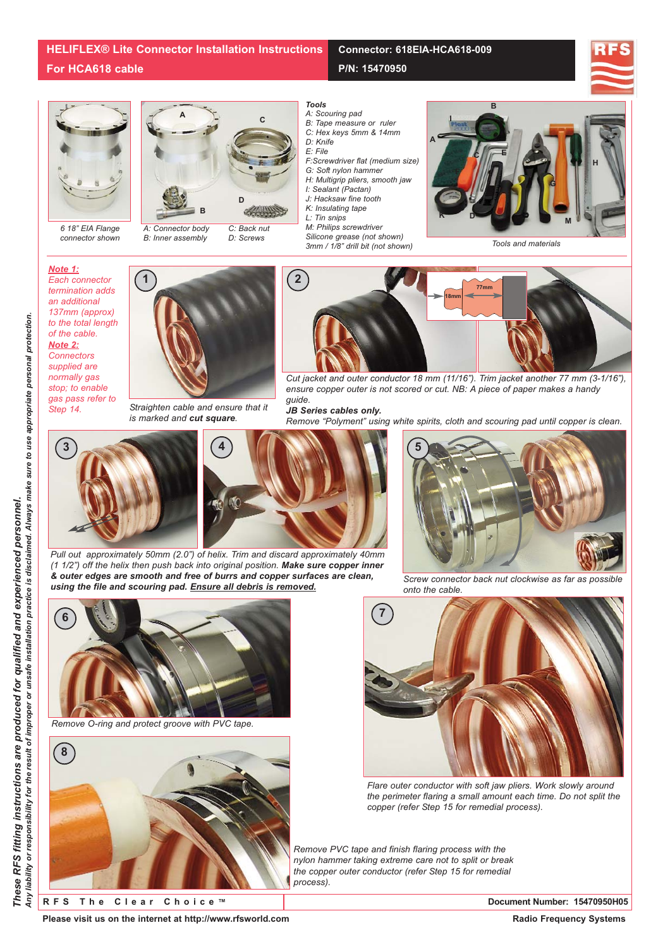*6 18" EIA Flange connector shown*



*A: Connector body B: Inner assembly C: Back nut D: Screws*



*A: Scouring pad*

- *B: Tape measure or ruler*
- *C: Hex keys 5mm & 14mm*
- *D: Knife E: File*
- *F:Screwdriver flat (medium size)*

**P/N: 15470950**

**Connector: 618EIA-HCA618-009**

- *G: Soft nylon hammer*
- *H: Multigrip pliers, smooth jaw I: Sealant (Pactan)*
- *J: Hacksaw fine tooth*
- *K: Insulating tape*
- *L: Tin snips*
- *M: Philips screwdriver*
- *Silicone grease (not shown) 3mm / 1/8" drill bit (not shown)*



*Tools and materials*





*Straighten cable and ensure that it is marked and cut square.*



*Cut jacket and outer conductor 18 mm (11/16"). Trim jacket another 77 mm (3-1/16"), ensure copper outer is not scored or cut. NB: A piece of paper makes a handy guide.* 

*JB Series cables only.*

*Remove "Polyment" using white spirits, cloth and scouring pad until copper is clean.*



*Pull out approximately 50mm (2.0") of helix. Trim and discard approximately 40mm (1 1/2") off the helix then push back into original position. Make sure copper inner & outer edges are smooth and free of burrs and copper surfaces are clean, using the file and scouring pad. Ensure all debris is removed.*



*Remove O-ring and protect groove with PVC tape.*





*Screw connector back nut clockwise as far as possible onto the cable.*



*Flare outer conductor with soft jaw pliers. Work slowly around the perimeter flaring a small amount each time. Do not split the copper (refer Step 15 for remedial process).*

*Remove PVC tape and finish flaring process with the nylon hammer taking extreme care not to split or break the copper outer conductor (refer Step 15 for remedial process).*

**RFS The Clear Choice ™ Document Number: 15470950H05**